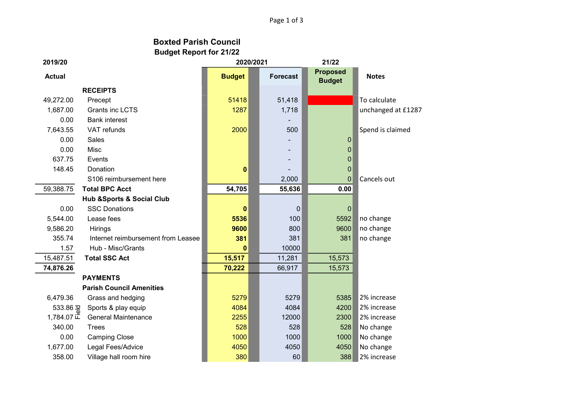Page 1 of 3

## Budget Report for 21/22 Boxted Parish Council

| 2019/20              |                                          | 2020/2021     |                 | 21/22                            |                    |
|----------------------|------------------------------------------|---------------|-----------------|----------------------------------|--------------------|
| <b>Actual</b>        |                                          | <b>Budget</b> | <b>Forecast</b> | <b>Proposed</b><br><b>Budget</b> | <b>Notes</b>       |
|                      | <b>RECEIPTS</b>                          |               |                 |                                  |                    |
| 49,272.00            | Precept                                  | 51418         | 51,418          |                                  | To calculate       |
| 1,687.00             | <b>Grants inc LCTS</b>                   | 1287          | 1,718           |                                  | unchanged at £1287 |
| 0.00                 | <b>Bank interest</b>                     |               |                 |                                  |                    |
| 7,643.55             | VAT refunds                              | 2000          | 500             |                                  | Spend is claimed   |
| 0.00                 | Sales                                    |               |                 | $\mathbf 0$                      |                    |
| 0.00                 | Misc                                     |               |                 | $\mathbf 0$                      |                    |
| 637.75               | Events                                   |               |                 | $\pmb{0}$                        |                    |
| 148.45               | Donation                                 | $\bf{0}$      |                 | 0                                |                    |
|                      | S106 reimbursement here                  |               | 2,000           | 0                                | Cancels out        |
| 59,388.75            | <b>Total BPC Acct</b>                    | 54,705        | 55,636          | 0.00                             |                    |
|                      | <b>Hub &amp;Sports &amp; Social Club</b> |               |                 |                                  |                    |
| 0.00                 | <b>SSC Donations</b>                     | $\bf{0}$      | $\Omega$        | $\overline{0}$                   |                    |
| 5,544.00             | Lease fees                               | 5536          | 100             | 5592                             | no change          |
| 9,586.20             | Hirings                                  | 9600          | 800             | 9600                             | no change          |
| 355.74               | Internet reimbursement from Leasee       | 381           | 381             | 381                              | no change          |
| 1.57                 | Hub - Misc/Grants                        | 0             | 10000           |                                  |                    |
| 15,487.51            | <b>Total SSC Act</b>                     | 15,517        | 11,281          | 15,573                           |                    |
| 74,876.26            |                                          | 70,222        | 66,917          | 15,573                           |                    |
|                      | <b>PAYMENTS</b>                          |               |                 |                                  |                    |
|                      | <b>Parish Council Amenities</b>          |               |                 |                                  |                    |
| 6,479.36             | Grass and hedging                        | 5279          | 5279            | 5385                             | 2% increase        |
| 533.86 $\frac{1}{6}$ | Sports & play equip                      | 4084          | 4084            | 4200                             | 2% increase        |
| 1,784.07 正           | <b>General Maintenance</b>               | 2255          | 12000           | 2300                             | 2% increase        |
| 340.00               | <b>Trees</b>                             | 528           | 528             | 528                              | No change          |
| 0.00                 | <b>Camping Close</b>                     | 1000          | 1000            | 1000                             | No change          |
| 1,677.00             | Legal Fees/Advice                        | 4050          | 4050            | 4050                             | No change          |
| 358.00               | Village hall room hire                   | 380           | 60              | 388                              | 2% increase        |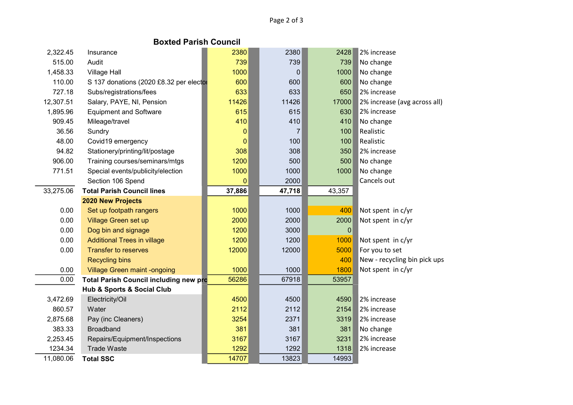## Boxted Parish Council

| 2,322.45  | Insurance                               | 2380        | 2380           | 2428        | 2% increase                  |  |
|-----------|-----------------------------------------|-------------|----------------|-------------|------------------------------|--|
| 515.00    | Audit                                   | 739         | 739            | 739         | No change                    |  |
| 1,458.33  | <b>Village Hall</b>                     | 1000        | 0              | 1000        | No change                    |  |
| 110.00    | S 137 donations (2020 £8.32 per elector | 600         | 600            | 600         | No change                    |  |
| 727.18    | Subs/registrations/fees                 | 633         | 633            | 650         | 2% increase                  |  |
| 12,307.51 | Salary, PAYE, NI, Pension               | 11426       | 11426          | 17000       | 2% increase (avg across all) |  |
| 1,895.96  | <b>Equipment and Software</b>           | 615         | 615            | 630         | 2% increase                  |  |
| 909.45    | Mileage/travel                          | 410         | 410            | 410         | No change                    |  |
| 36.56     | Sundry                                  | $\mathbf 0$ | $\overline{7}$ | 100         | Realistic                    |  |
| 48.00     | Covid19 emergency                       | $\mathbf 0$ | 100            | 100         | Realistic                    |  |
| 94.82     | Stationery/printing/lit/postage         | 308         | 308            | 350         | 2% increase                  |  |
| 906.00    | Training courses/seminars/mtgs          | 1200        | 500            | 500         | No change                    |  |
| 771.51    | Special events/publicity/election       | 1000        | 1000           | 1000        | No change                    |  |
|           | Section 106 Spend                       | $\mathbf 0$ | 2000           |             | Cancels out                  |  |
| 33,275.06 | <b>Total Parish Council lines</b>       | 37,886      | 47,718         | 43,357      |                              |  |
|           | <b>2020 New Projects</b>                |             |                |             |                              |  |
| 0.00      | Set up footpath rangers                 | 1000        | 1000           | 400         | Not spent in c/yr            |  |
| 0.00      | Village Green set up                    | 2000        | 2000           | 2000        | Not spent in c/yr            |  |
| 0.00      | Dog bin and signage                     | 1200        | 3000           | $\mathbf 0$ |                              |  |
| 0.00      | <b>Additional Trees in village</b>      | 1200        | 1200           | 1000        | Not spent in c/yr            |  |
| 0.00      | <b>Transfer to reserves</b>             | 12000       | 12000          | 5000        | For you to set               |  |
|           | <b>Recycling bins</b>                   |             |                | 400         | New - recycling bin pick ups |  |
| 0.00      | <b>Village Green maint -ongoing</b>     | 1000        | 1000           | 1800        | Not spent in c/yr            |  |
| 0.00      | Total Parish Council including new pro  | 56286       | 67918          | 53957       |                              |  |
|           | Hub & Sports & Social Club              |             |                |             |                              |  |
| 3,472.69  | Electricity/Oil                         | 4500        | 4500           | 4590        | 2% increase                  |  |
| 860.57    | Water                                   | 2112        | 2112           | 2154        | 2% increase                  |  |
| 2,875.68  | Pay (inc Cleaners)                      | 3254        | 2371           | 3319        | 2% increase                  |  |
| 383.33    | <b>Broadband</b>                        | 381         | 381            | 381         | No change                    |  |
| 2,253.45  | Repairs/Equipment/Inspections           | 3167        | 3167           | 3231        | 2% increase                  |  |
| 1234.34   | <b>Trade Waste</b>                      | 1292        | 1292           | 1318        | 2% increase                  |  |
| 11,080.06 | <b>Total SSC</b>                        | 14707       | 13823          | 14993       |                              |  |